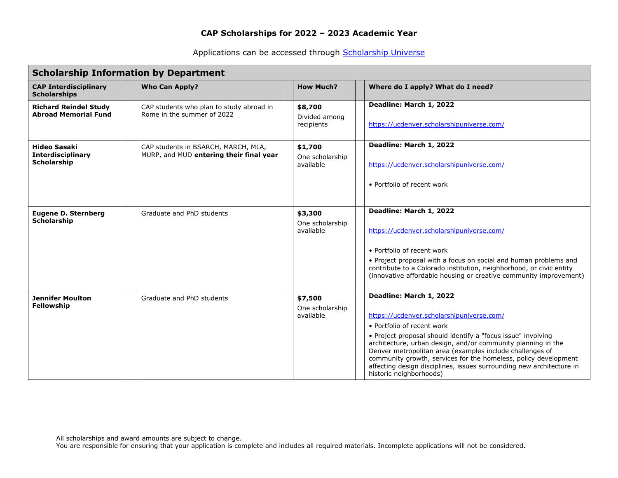Applications can be accessed through [Scholarship Universe](https://ucdenver.scholarshipuniverse.com/)

| <b>Scholarship Information by Department</b>                          |                                                                                |                                         |                                                                                                                                                                                                                                                                                                                                                                                                                                                                      |  |  |  |  |  |
|-----------------------------------------------------------------------|--------------------------------------------------------------------------------|-----------------------------------------|----------------------------------------------------------------------------------------------------------------------------------------------------------------------------------------------------------------------------------------------------------------------------------------------------------------------------------------------------------------------------------------------------------------------------------------------------------------------|--|--|--|--|--|
| <b>CAP Interdisciplinary</b><br><b>Scholarships</b>                   | <b>Who Can Apply?</b>                                                          | <b>How Much?</b>                        | Where do I apply? What do I need?                                                                                                                                                                                                                                                                                                                                                                                                                                    |  |  |  |  |  |
| <b>Richard Reindel Study</b><br><b>Abroad Memorial Fund</b>           | CAP students who plan to study abroad in<br>Rome in the summer of 2022         | \$8,700<br>Divided among<br>recipients  | Deadline: March 1, 2022<br>https://ucdenver.scholarshipuniverse.com/                                                                                                                                                                                                                                                                                                                                                                                                 |  |  |  |  |  |
| <b>Hideo Sasaki</b><br><b>Interdisciplinary</b><br><b>Scholarship</b> | CAP students in BSARCH, MARCH, MLA,<br>MURP, and MUD entering their final year | \$1,700<br>One scholarship<br>available | Deadline: March 1, 2022<br>https://ucdenver.scholarshipuniverse.com/<br>• Portfolio of recent work                                                                                                                                                                                                                                                                                                                                                                   |  |  |  |  |  |
| <b>Eugene D. Sternberg</b><br>Scholarship                             | Graduate and PhD students                                                      | \$3,300<br>One scholarship<br>available | Deadline: March 1, 2022<br>https://ucdenver.scholarshipuniverse.com/<br>• Portfolio of recent work<br>• Project proposal with a focus on social and human problems and<br>contribute to a Colorado institution, neighborhood, or civic entity<br>(innovative affordable housing or creative community improvement)                                                                                                                                                   |  |  |  |  |  |
| <b>Jennifer Moulton</b><br>Fellowship                                 | Graduate and PhD students                                                      | \$7,500<br>One scholarship<br>available | Deadline: March 1, 2022<br>https://ucdenver.scholarshipuniverse.com/<br>• Portfolio of recent work<br>• Project proposal should identify a "focus issue" involving<br>architecture, urban design, and/or community planning in the<br>Denver metropolitan area (examples include challenges of<br>community growth, services for the homeless, policy development<br>affecting design disciplines, issues surrounding new architecture in<br>historic neighborhoods) |  |  |  |  |  |

All scholarships and award amounts are subject to change.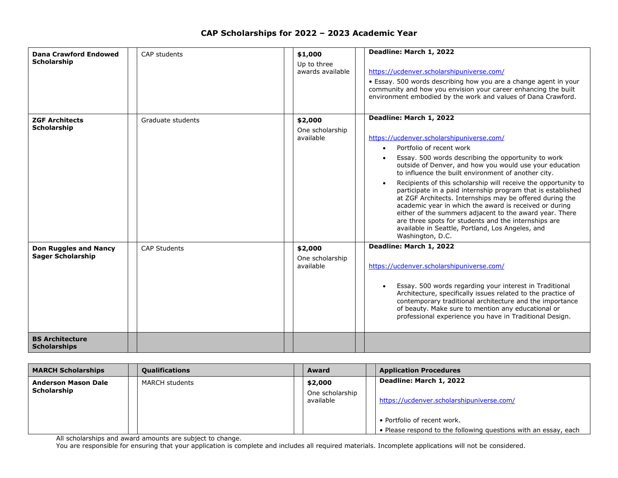| <b>Dana Crawford Endowed</b><br><b>Scholarship</b>       | CAP students        | \$1,000<br>Up to three<br>awards available | Deadline: March 1, 2022<br>https://ucdenver.scholarshipuniverse.com/<br>• Essay. 500 words describing how you are a change agent in your<br>community and how you envision your career enhancing the built<br>environment embodied by the work and values of Dana Crawford.                                                                                                                                                                                                                                                                                                                                                                                                                                                               |
|----------------------------------------------------------|---------------------|--------------------------------------------|-------------------------------------------------------------------------------------------------------------------------------------------------------------------------------------------------------------------------------------------------------------------------------------------------------------------------------------------------------------------------------------------------------------------------------------------------------------------------------------------------------------------------------------------------------------------------------------------------------------------------------------------------------------------------------------------------------------------------------------------|
| <b>ZGF Architects</b><br>Scholarship                     | Graduate students   | \$2,000<br>One scholarship<br>available    | Deadline: March 1, 2022<br>https://ucdenver.scholarshipuniverse.com/<br>Portfolio of recent work<br>$\bullet$<br>Essay. 500 words describing the opportunity to work<br>outside of Denver, and how you would use your education<br>to influence the built environment of another city.<br>Recipients of this scholarship will receive the opportunity to<br>participate in a paid internship program that is established<br>at ZGF Architects. Internships may be offered during the<br>academic year in which the award is received or during<br>either of the summers adjacent to the award year. There<br>are three spots for students and the internships are<br>available in Seattle, Portland, Los Angeles, and<br>Washington, D.C. |
| <b>Don Ruggles and Nancy</b><br><b>Sager Scholarship</b> | <b>CAP Students</b> | \$2,000<br>One scholarship<br>available    | Deadline: March 1, 2022<br>https://ucdenver.scholarshipuniverse.com/<br>Essay. 500 words regarding your interest in Traditional<br>Architecture, specifically issues related to the practice of<br>contemporary traditional architecture and the importance<br>of beauty. Make sure to mention any educational or<br>professional experience you have in Traditional Design.                                                                                                                                                                                                                                                                                                                                                              |
| <b>BS Architecture</b><br><b>Scholarships</b>            |                     |                                            |                                                                                                                                                                                                                                                                                                                                                                                                                                                                                                                                                                                                                                                                                                                                           |

| <b>MARCH Scholarships</b>                 | <b>Qualifications</b> | <b>Award</b>                 | <b>Application Procedures</b>                                   |
|-------------------------------------------|-----------------------|------------------------------|-----------------------------------------------------------------|
| <b>Anderson Mason Dale</b><br>Scholarship | <b>MARCH students</b> | \$2,000                      | Deadline: March 1, 2022                                         |
|                                           |                       | One scholarship<br>available | https://ucdenver.scholarshipuniverse.com/                       |
|                                           |                       |                              | • Portfolio of recent work.                                     |
|                                           |                       |                              | • Please respond to the following questions with an essay, each |

All scholarships and award amounts are subject to change.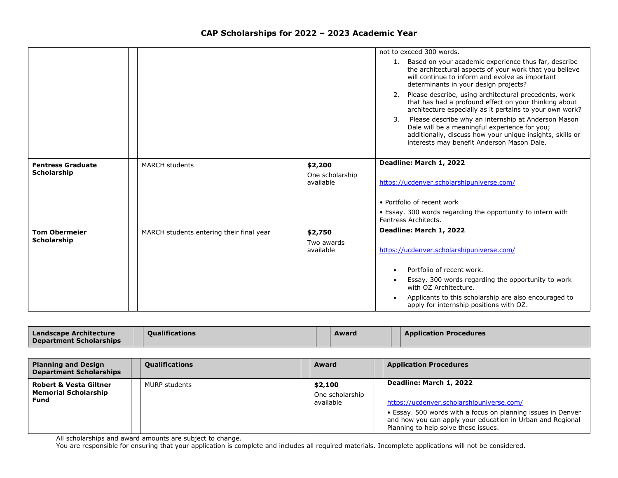|                                                |                                          |                              | not to exceed 300 words.                                                                                                                                                                                              |
|------------------------------------------------|------------------------------------------|------------------------------|-----------------------------------------------------------------------------------------------------------------------------------------------------------------------------------------------------------------------|
|                                                |                                          |                              | Based on your academic experience thus far, describe<br>1.<br>the architectural aspects of your work that you believe<br>will continue to inform and evolve as important<br>determinants in your design projects?     |
|                                                |                                          |                              | Please describe, using architectural precedents, work<br>2.<br>that has had a profound effect on your thinking about<br>architecture especially as it pertains to your own work?                                      |
|                                                |                                          |                              | 3.<br>Please describe why an internship at Anderson Mason<br>Dale will be a meaningful experience for you;<br>additionally, discuss how your unique insights, skills or<br>interests may benefit Anderson Mason Dale. |
|                                                |                                          |                              | Deadline: March 1, 2022                                                                                                                                                                                               |
| <b>Fentress Graduate</b><br><b>Scholarship</b> | <b>MARCH students</b>                    | \$2,200                      |                                                                                                                                                                                                                       |
|                                                |                                          | One scholarship<br>available | https://ucdenver.scholarshipuniverse.com/                                                                                                                                                                             |
|                                                |                                          |                              | • Portfolio of recent work                                                                                                                                                                                            |
|                                                |                                          |                              | • Essay. 300 words regarding the opportunity to intern with<br>Fentress Architects.                                                                                                                                   |
| <b>Tom Obermeier</b>                           | MARCH students entering their final year | \$2,750                      | Deadline: March 1, 2022                                                                                                                                                                                               |
| <b>Scholarship</b>                             |                                          | Two awards                   |                                                                                                                                                                                                                       |
|                                                |                                          |                              |                                                                                                                                                                                                                       |
|                                                |                                          | available                    | https://ucdenver.scholarshipuniverse.com/                                                                                                                                                                             |
|                                                |                                          |                              | Portfolio of recent work.                                                                                                                                                                                             |
|                                                |                                          |                              | Essay. 300 words regarding the opportunity to work<br>with OZ Architecture.                                                                                                                                           |

| Landscape Architecture  | <b>Oualifications</b> | Award | <b>Application Procedures</b> |
|-------------------------|-----------------------|-------|-------------------------------|
| Department Scholarships |                       |       |                               |

| <b>Planning and Design</b><br><b>Department Scholarships</b>                    | <b>Qualifications</b> | <b>Award</b>                            | <b>Application Procedures</b>                                                                                                                                                                                                              |
|---------------------------------------------------------------------------------|-----------------------|-----------------------------------------|--------------------------------------------------------------------------------------------------------------------------------------------------------------------------------------------------------------------------------------------|
| <b>Robert &amp; Vesta Giltner</b><br><b>Memorial Scholarship</b><br><b>Fund</b> | <b>MURP</b> students  | \$2,100<br>One scholarship<br>available | Deadline: March 1, 2022<br>https://ucdenver.scholarshipuniverse.com/<br>• Essay. 500 words with a focus on planning issues in Denver<br>and how you can apply your education in Urban and Regional<br>Planning to help solve these issues. |

All scholarships and award amounts are subject to change.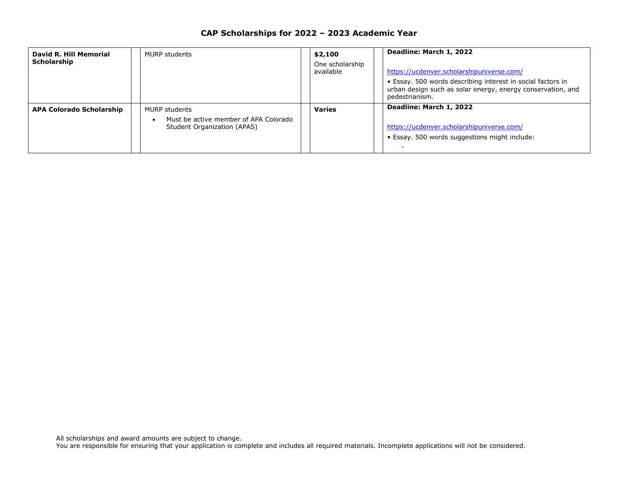| David R. Hill Memorial<br>Scholarship | <b>MURP students</b>                                                                         | \$2,100<br>One scholarship<br>available | Deadline: March 1, 2022<br>https://ucdenver.scholarshipuniverse.com/<br>• Essay. 500 words describing interest in social factors in<br>urban design such as solar energy, energy conservation, and<br>pedestrianism. |
|---------------------------------------|----------------------------------------------------------------------------------------------|-----------------------------------------|----------------------------------------------------------------------------------------------------------------------------------------------------------------------------------------------------------------------|
| <b>APA Colorado Scholarship</b>       | <b>MURP students</b><br>Must be active member of APA Colorado<br>Student Organization (APAS) | <b>Varies</b>                           | Deadline: March 1, 2022<br>https://ucdenver.scholarshipuniverse.com/<br>· Essay. 500 words suggestions might include:                                                                                                |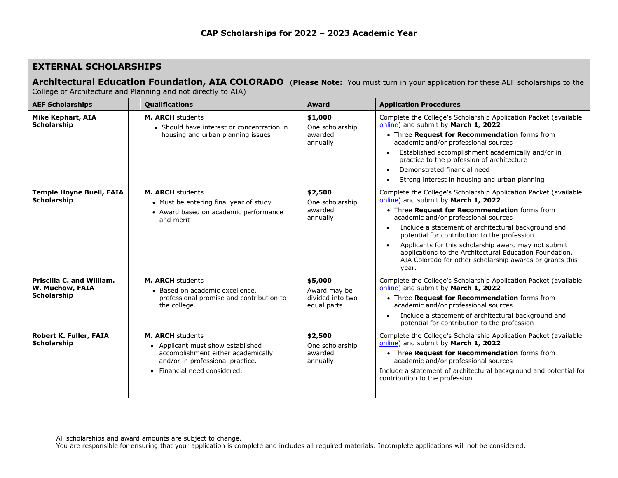## **EXTERNAL SCHOLARSHIPS**

| Architectural Education Foundation, AIA COLORADO (Please Note: You must turn in your application for these AEF scholarships to the |  |
|------------------------------------------------------------------------------------------------------------------------------------|--|
| Collage of Architecture and Dianning and not directly to AIA)                                                                      |  |

College of Architecture and Planning and not directly to AIA)

| <b>AEF Scholarships</b>                                            | Qualifications                                                                                                                                                         | Award                                                      | <b>Application Procedures</b>                                                                                                                                                                                                                                                                                                                                                                                                                                                                   |
|--------------------------------------------------------------------|------------------------------------------------------------------------------------------------------------------------------------------------------------------------|------------------------------------------------------------|-------------------------------------------------------------------------------------------------------------------------------------------------------------------------------------------------------------------------------------------------------------------------------------------------------------------------------------------------------------------------------------------------------------------------------------------------------------------------------------------------|
| <b>Mike Kephart, AIA</b><br><b>Scholarship</b>                     | <b>M. ARCH students</b><br>• Should have interest or concentration in<br>housing and urban planning issues                                                             | \$1,000<br>One scholarship<br>awarded<br>annually          | Complete the College's Scholarship Application Packet (available<br>online) and submit by March 1, 2022<br>• Three Request for Recommendation forms from<br>academic and/or professional sources<br>Established accomplishment academically and/or in<br>practice to the profession of architecture<br>Demonstrated financial need<br>Strong interest in housing and urban planning                                                                                                             |
| <b>Temple Hoyne Buell, FAIA</b><br><b>Scholarship</b>              | <b>M. ARCH students</b><br>• Must be entering final year of study<br>• Award based on academic performance<br>and merit                                                | \$2,500<br>One scholarship<br>awarded<br>annually          | Complete the College's Scholarship Application Packet (available<br>online) and submit by March 1, 2022<br>• Three Request for Recommendation forms from<br>academic and/or professional sources<br>Include a statement of architectural background and<br>potential for contribution to the profession<br>Applicants for this scholarship award may not submit<br>applications to the Architectural Education Foundation,<br>AIA Colorado for other scholarship awards or grants this<br>year. |
| Priscilla C. and William.<br>W. Muchow, FAIA<br><b>Scholarship</b> | <b>M. ARCH students</b><br>• Based on academic excellence,<br>professional promise and contribution to<br>the college.                                                 | \$5,000<br>Award may be<br>divided into two<br>equal parts | Complete the College's Scholarship Application Packet (available<br>online) and submit by March 1, 2022<br>• Three Request for Recommendation forms from<br>academic and/or professional sources<br>Include a statement of architectural background and<br>potential for contribution to the profession                                                                                                                                                                                         |
| Robert K. Fuller, FAIA<br><b>Scholarship</b>                       | <b>M. ARCH students</b><br>• Applicant must show established<br>accomplishment either academically<br>and/or in professional practice.<br>• Financial need considered. | \$2,500<br>One scholarship<br>awarded<br>annually          | Complete the College's Scholarship Application Packet (available<br>online) and submit by March 1, 2022<br>• Three Request for Recommendation forms from<br>academic and/or professional sources<br>Include a statement of architectural background and potential for<br>contribution to the profession                                                                                                                                                                                         |

All scholarships and award amounts are subject to change.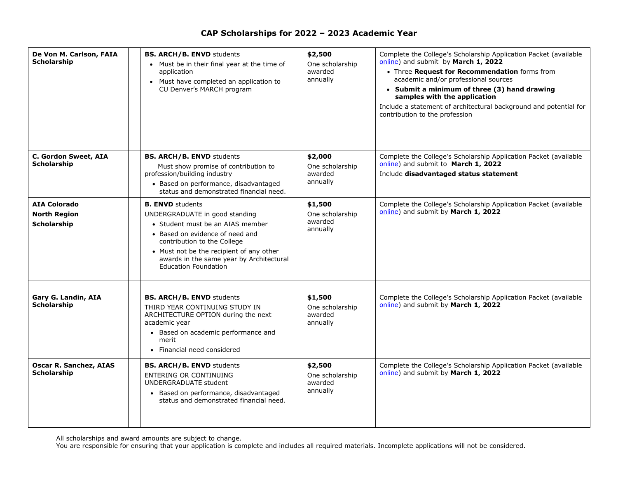| De Von M. Carlson, FAIA<br><b>Scholarship</b>             | <b>BS. ARCH/B. ENVD students</b><br>• Must be in their final year at the time of<br>application<br>• Must have completed an application to<br>CU Denver's MARCH program                                                                                                                | \$2,500<br>One scholarship<br>awarded<br>annually | Complete the College's Scholarship Application Packet (available<br>online) and submit by March 1, 2022<br>• Three Request for Recommendation forms from<br>academic and/or professional sources<br>• Submit a minimum of three (3) hand drawing<br>samples with the application<br>Include a statement of architectural background and potential for<br>contribution to the profession |
|-----------------------------------------------------------|----------------------------------------------------------------------------------------------------------------------------------------------------------------------------------------------------------------------------------------------------------------------------------------|---------------------------------------------------|-----------------------------------------------------------------------------------------------------------------------------------------------------------------------------------------------------------------------------------------------------------------------------------------------------------------------------------------------------------------------------------------|
| C. Gordon Sweet, AIA<br>Scholarship                       | <b>BS. ARCH/B. ENVD students</b><br>Must show promise of contribution to<br>profession/building industry<br>• Based on performance, disadvantaged<br>status and demonstrated financial need.                                                                                           | \$2,000<br>One scholarship<br>awarded<br>annually | Complete the College's Scholarship Application Packet (available<br>online) and submit to March 1, 2022<br>Include disadvantaged status statement                                                                                                                                                                                                                                       |
| <b>AIA Colorado</b><br><b>North Region</b><br>Scholarship | <b>B. ENVD</b> students<br>UNDERGRADUATE in good standing<br>• Student must be an AIAS member<br>• Based on evidence of need and<br>contribution to the College<br>• Must not be the recipient of any other<br>awards in the same year by Architectural<br><b>Education Foundation</b> | \$1,500<br>One scholarship<br>awarded<br>annually | Complete the College's Scholarship Application Packet (available<br>online) and submit by March 1, 2022                                                                                                                                                                                                                                                                                 |
| Gary G. Landin, AIA<br>Scholarship                        | <b>BS. ARCH/B. ENVD students</b><br>THIRD YEAR CONTINUING STUDY IN<br>ARCHITECTURE OPTION during the next<br>academic year<br>• Based on academic performance and<br>merit<br>• Financial need considered                                                                              | \$1,500<br>One scholarship<br>awarded<br>annually | Complete the College's Scholarship Application Packet (available<br>online) and submit by March 1, 2022                                                                                                                                                                                                                                                                                 |
| <b>Oscar R. Sanchez, AIAS</b><br><b>Scholarship</b>       | <b>BS. ARCH/B. ENVD students</b><br><b>ENTERING OR CONTINUING</b><br>UNDERGRADUATE student<br>Based on performance, disadvantaged<br>$\bullet$<br>status and demonstrated financial need.                                                                                              | \$2,500<br>One scholarship<br>awarded<br>annually | Complete the College's Scholarship Application Packet (available<br>online) and submit by March 1, 2022                                                                                                                                                                                                                                                                                 |

All scholarships and award amounts are subject to change.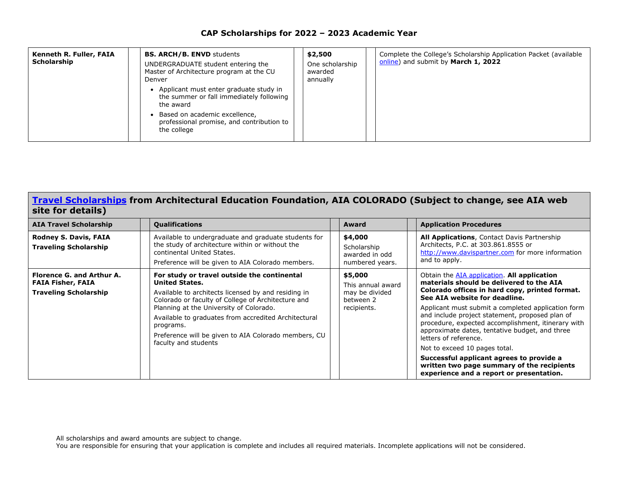| Kenneth R. Fuller, FAIA<br>Scholarship | <b>BS. ARCH/B. ENVD students</b><br>UNDERGRADUATE student entering the<br>Master of Architecture program at the CU<br>Denver<br>Applicant must enter graduate study in<br>the summer or fall immediately following<br>the award<br>Based on academic excellence,<br>professional promise, and contribution to<br>the college | \$2,500<br>One scholarship<br>awarded<br>annually | Complete the College's Scholarship Application Packet (available<br>online) and submit by March 1, 2022 |
|----------------------------------------|------------------------------------------------------------------------------------------------------------------------------------------------------------------------------------------------------------------------------------------------------------------------------------------------------------------------------|---------------------------------------------------|---------------------------------------------------------------------------------------------------------|
|----------------------------------------|------------------------------------------------------------------------------------------------------------------------------------------------------------------------------------------------------------------------------------------------------------------------------------------------------------------------------|---------------------------------------------------|---------------------------------------------------------------------------------------------------------|

#### **[Travel Scholarships](http://www.aiacolorado.org/resources/scholarships-grants.php) from Architectural Education Foundation, AIA COLORADO (Subject to change, see AIA web site for details)**

| <b>AIA Travel Scholarship</b>                                                         | <b>Qualifications</b>                                                                                                                                                                                                                                                                                                                                                             | Award                                                                      | <b>Application Procedures</b>                                                                                                                                                                                                                                                                                                                                                                                                                                                                                                                                                               |
|---------------------------------------------------------------------------------------|-----------------------------------------------------------------------------------------------------------------------------------------------------------------------------------------------------------------------------------------------------------------------------------------------------------------------------------------------------------------------------------|----------------------------------------------------------------------------|---------------------------------------------------------------------------------------------------------------------------------------------------------------------------------------------------------------------------------------------------------------------------------------------------------------------------------------------------------------------------------------------------------------------------------------------------------------------------------------------------------------------------------------------------------------------------------------------|
| <b>Rodney S. Davis, FAIA</b><br><b>Traveling Scholarship</b>                          | Available to undergraduate and graduate students for<br>the study of architecture within or without the<br>continental United States.<br>Preference will be given to AIA Colorado members.                                                                                                                                                                                        | \$4,000<br>Scholarship<br>awarded in odd<br>numbered years.                | All Applications, Contact Davis Partnership<br>Architects, P.C. at 303.861.8555 or<br>http://www.davispartner.com for more information<br>and to apply.                                                                                                                                                                                                                                                                                                                                                                                                                                     |
| Florence G. and Arthur A.<br><b>FAIA Fisher, FAIA</b><br><b>Traveling Scholarship</b> | For study or travel outside the continental<br><b>United States.</b><br>Available to architects licensed by and residing in<br>Colorado or faculty of College of Architecture and<br>Planning at the University of Colorado.<br>Available to graduates from accredited Architectural<br>programs.<br>Preference will be given to AIA Colorado members, CU<br>faculty and students | \$5,000<br>This annual award<br>may be divided<br>between 2<br>recipients. | Obtain the AIA application. All application<br>materials should be delivered to the AIA<br>Colorado offices in hard copy, printed format.<br>See AIA website for deadline.<br>Applicant must submit a completed application form<br>and include project statement, proposed plan of<br>procedure, expected accomplishment, itinerary with<br>approximate dates, tentative budget, and three<br>letters of reference.<br>Not to exceed 10 pages total.<br>Successful applicant agrees to provide a<br>written two page summary of the recipients<br>experience and a report or presentation. |

All scholarships and award amounts are subject to change.